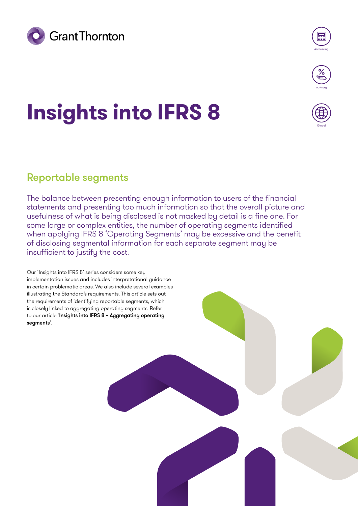



Globa

# **Insights into IFRS 8**

### Reportable segments

The balance between presenting enough information to users of the financial statements and presenting too much information so that the overall picture and usefulness of what is being disclosed is not masked by detail is a fine one. For some large or complex entities, the number of operating segments identified when applying IFRS 8 'Operating Segments' may be excessive and the benefit of disclosing segmental information for each separate segment may be insufficient to justify the cost.

Our 'Insights into IFRS 8' series considers some key implementation issues and includes interpretational guidance in certain problematic areas. We also include several examples illustrating the Standard's requirements. This article sets out the requirements of identifying reportable segments, which is closely linked to aggregating operating segments. Refer to our article '[Insights into IFRS 8 – Aggregating operating](https://www.grantthornton.global/en/insights/articles/ifrs-8-insights/Aggregation-of-operating-segments)  [segments](https://www.grantthornton.global/en/insights/articles/ifrs-8-insights/Aggregation-of-operating-segments)'.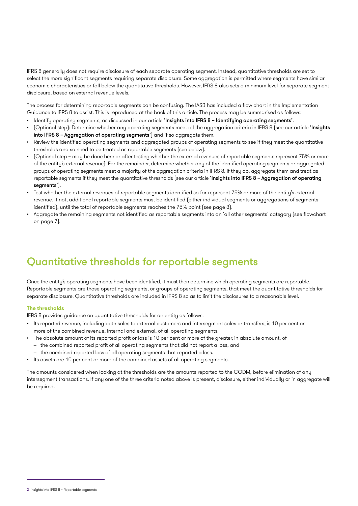IFRS 8 generally does not require disclosure of each separate operating segment. Instead, quantitative thresholds are set to select the more significant segments requiring separate disclosure. Some aggregation is permitted where segments have similar economic characteristics or fall below the quantitative thresholds. However, IFRS 8 also sets a minimum level for separate segment disclosure, based on external revenue levels.

The process for determining reportable segments can be confusing. The IASB has included a flow chart in the Implementation Guidance to IFRS 8 to assist. This is reproduced at the back of this article. The process may be summarised as follows:

- Identify operating segments, as discussed in our article ['Insights into IFRS 8 Identifying operating segments](https://www.grantthornton.global/en/insights/articles/ifrs-8-insights/identifying-operating-segments)'.
- (Optional step): Determine whether any operating segments meet all the aggregation criteria in IFRS 8 (see our article ['Insights](https://www.grantthornton.global/en/insights/articles/ifrs-8-insights/Aggregation-of-operating-segments)  [into IFRS 8 – Aggregation of operating segments'](https://www.grantthornton.global/en/insights/articles/ifrs-8-insights/Aggregation-of-operating-segments)) and if so aggregate them.
- Review the identified operating segments and aggregated groups of operating segments to see if they meet the quantitative thresholds and so need to be treated as reportable segments (see below).
- (Optional step may be done here or after testing whether the external revenues of reportable segments represent 75% or more of the entity's external revenue): For the remainder, determine whether any of the identified operating segments or aggregated groups of operating segments meet a majority of the aggregation criteria in IFRS 8. If they do, aggregate them and treat as reportable segments if they meet the quantitative thresholds (see our article 'Insights into IFRS 8 - Aggregation of operating seaments').
- Test whether the external revenues of reportable segments identified so far represent 75% or more of the entity's external revenue. If not, additional reportable segments must be identified (either individual segments or aggregations of segments identified), until the total of reportable segments reaches the 75% point (see page 3).
- Aggregate the remaining segments not identified as reportable segments into an 'all other segments' category (see flowchart on page 7).

### Quantitative thresholds for reportable segments

Once the entity's operating segments have been identified, it must then determine which operating segments are reportable. Reportable segments are those operating segments, or groups of operating segments, that meet the quantitative thresholds for separate disclosure. Quantitative thresholds are included in IFRS 8 so as to limit the disclosures to a reasonable level.

#### **The thresholds**

IFRS 8 provides guidance on quantitative thresholds for an entity as follows:

- Its reported revenue, including both sales to external customers and intersegment sales or transfers, is 10 per cent or more of the combined revenue, internal and external, of all operating segments.
- The absolute amount of its reported profit or loss is 10 per cent or more of the greater, in absolute amount, of
	- the combined reported profit of all operating segments that did not report a loss, and
	- the combined reported loss of all operating segments that reported a loss.
- Its assets are 10 per cent or more of the combined assets of all operating segments.

The amounts considered when looking at the thresholds are the amounts reported to the CODM, before elimination of any intersegment transactions. If any one of the three criteria noted above is present, disclosure, either individually or in aggregate will be required.

<sup>2</sup> Insights into IFRS 8 – Reportable segments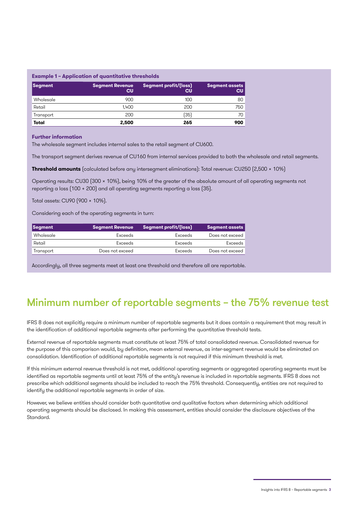#### **Example 1 – Application of quantitative thresholds**

| Segment   | <b>Segment Revenue</b><br>cu | Segment profit/(loss)  <br><b>CU</b> | Segment assets<br>CU |
|-----------|------------------------------|--------------------------------------|----------------------|
| Wholesale | 900                          | 100                                  | 80 <sup>1</sup>      |
| Retail    | 1.400                        | 200                                  | 750                  |
| Transport | 200                          | (35)                                 | 70 I                 |
| Total     | 2,500                        | 265                                  | 900                  |

#### **Further information**

The wholesale segment includes internal sales to the retail segment of CU600.

The transport segment derives revenue of CU160 from internal services provided to both the wholesale and retail segments.

**Threshold amounts** (calculated before any intersegment eliminations): Total revenue: CU250 (2,500 × 10%)

Operating results: CU30 (300 x 10%), being 10% of the greater of the absolute amount of all operating segments not reporting a loss (100 + 200) and all operating segments reporting a loss (35).

Total assets: CU90 (900 x 10%).

Considering each of the operating segments in turn:

| <b>Segment</b> | <b>Segment Revenue</b> | Segment profit/(loss) | <b>Segment assets</b> |
|----------------|------------------------|-----------------------|-----------------------|
| Wholesale      | <b>Exceeds</b>         | <b>Exceeds</b>        | Does not exceed       |
| Retail         | Exceeds                | Exceeds               | Exceeds               |
| Transport      | Does not exceed        | Exceeds               | Does not exceed       |

Accordingly, all three segments meet at least one threshold and therefore all are reportable.

### Minimum number of reportable segments – the 75% revenue test

IFRS 8 does not explicitly require a minimum number of reportable segments but it does contain a requirement that may result in the identification of additional reportable segments after performing the quantitative threshold tests.

External revenue of reportable segments must constitute at least 75% of total consolidated revenue. Consolidated revenue for the purpose of this comparison would, by definition, mean external revenue, as inter-segment revenue would be eliminated on consolidation. Identification of additional reportable segments is not required if this minimum threshold is met.

If this minimum external revenue threshold is not met, additional operating segments or aggregated operating segments must be identified as reportable segments until at least 75% of the entity's revenue is included in reportable segments. IFRS 8 does not prescribe which additional segments should be included to reach the 75% threshold. Consequently, entities are not required to identify the additional reportable segments in order of size.

However, we believe entities should consider both quantitative and qualitative factors when determining which additional operating segments should be disclosed. In making this assessment, entities should consider the disclosure objectives of the Standard.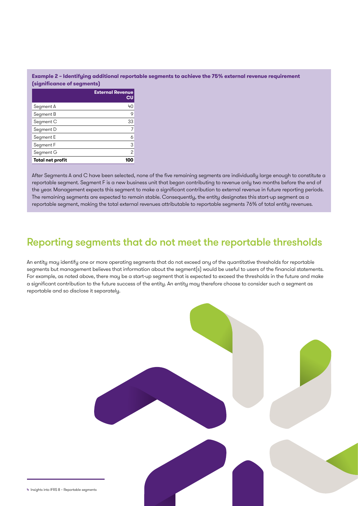### **Example 2 – Identifying additional reportable segments to achieve the 75% external revenue requirement (significance of segments)**

|                         | <b>External Revenue</b><br>CU |
|-------------------------|-------------------------------|
| Segment A               | 40                            |
| Segment B               | 9                             |
| Segment C               | 33                            |
| Segment D               | 7                             |
| Segment E               | 6                             |
| Segment F               | 3                             |
| Segment G               | 2                             |
| <b>Total net profit</b> |                               |

After Segments A and C have been selected, none of the five remaining segments are individually large enough to constitute a reportable segment. Segment F is a new business unit that began contributing to revenue only two months before the end of the year. Management expects this segment to make a significant contribution to external revenue in future reporting periods. The remaining segments are expected to remain stable. Consequently, the entity designates this start-up segment as a reportable segment, making the total external revenues attributable to reportable segments 76% of total entity revenues.

### Reporting segments that do not meet the reportable thresholds

An entity may identify one or more operating segments that do not exceed any of the quantitative thresholds for reportable segments but management believes that information about the segment(s) would be useful to users of the financial statements. For example, as noted above, there may be a start-up segment that is expected to exceed the thresholds in the future and make a significant contribution to the future success of the entity. An entity may therefore choose to consider such a segment as reportable and so disclose it separately.

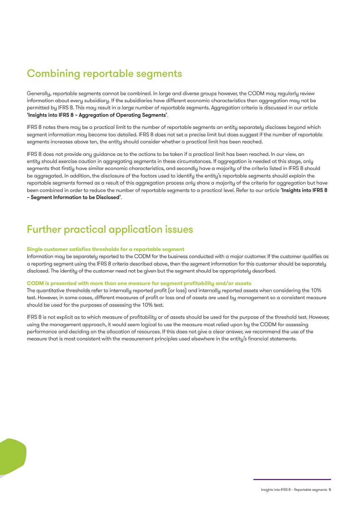## Combining reportable segments

Generally, reportable segments cannot be combined. In large and diverse groups however, the CODM may regularly review information about every subsidiary. If the subsidiaries have different economic characteristics then aggregation may not be permitted by IFRS 8. This may result in a large number of reportable segments. Aggregation criteria is discussed in our article ['Insights into IFRS 8 – Aggregation of Operating Segments'](https://www.grantthornton.global/en/insights/articles/ifrs-8-insights/Aggregation-of-operating-segments).

IFRS 8 notes there may be a practical limit to the number of reportable segments an entity separately discloses beyond which segment information may become too detailed. IFRS 8 does not set a precise limit but does suggest if the number of reportable segments increases above ten, the entity should consider whether a practical limit has been reached.

IFRS 8 does not provide any guidance as to the actions to be taken if a practical limit has been reached. In our view, an entity should exercise caution in aggregating segments in these circumstances. If aggregation is needed at this stage, only segments that firstly have similar economic characteristics, and secondly have a majority of the criteria listed in IFRS 8 should be aggregated. In addition, the disclosure of the factors used to identify the entity's reportable segments should explain the reportable segments formed as a result of this aggregation process only share a majority of the criteria for aggregation but have been combined in order to reduce the number of reportable segments to a practical level. Refer to our article 'Insights into IFRS 8 [– Segment Information to be Disclosed](https://www.grantthornton.global/en/insights/articles/ifrs-8-insights/segment-information-to-be-disclosed)'.

### Further practical application issues

#### **Single customer satisfies thresholds for a reportable segment**

Information may be separately reported to the CODM for the business conducted with a major customer. If the customer qualifies as a reporting segment using the IFRS 8 criteria described above, then the segment information for this customer should be separately disclosed. The identity of the customer need not be given but the segment should be appropriately described.

#### **CODM is presented with more than one measure for segment profitability and/or assets**

The quantitative thresholds refer to internally reported profit (or loss) and internally reported assets when considering the 10% test. However, in some cases, different measures of profit or loss and of assets are used by management so a consistent measure should be used for the purposes of assessing the 10% test.

IFRS 8 is not explicit as to which measure of profitability or of assets should be used for the purpose of the threshold test. However, using the management approach, it would seem logical to use the measure most relied upon by the CODM for assessing performance and deciding on the allocation of resources. If this does not give a clear answer, we recommend the use of the measure that is most consistent with the measurement principles used elsewhere in the entity's financial statements.

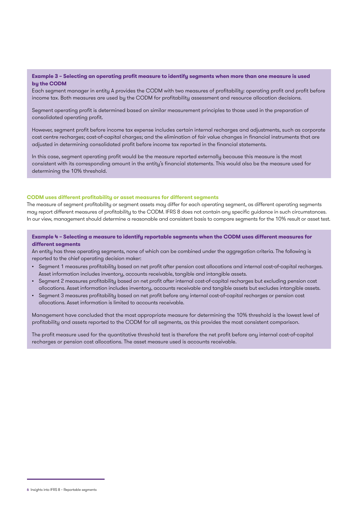### **Example 3 – Selecting an operating profit measure to identify segments when more than one measure is used by the CODM**

Each segment manager in entity A provides the CODM with two measures of profitability: operating profit and profit before income tax. Both measures are used by the CODM for profitability assessment and resource allocation decisions.

Segment operating profit is determined based on similar measurement principles to those used in the preparation of consolidated operating profit.

However, segment profit before income tax expense includes certain internal recharges and adjustments, such as corporate cost centre recharges; cost-of-capital charges; and the elimination of fair value changes in financial instruments that are adjusted in determining consolidated profit before income tax reported in the financial statements.

In this case, segment operating profit would be the measure reported externally because this measure is the most consistent with its corresponding amount in the entity's financial statements. This would also be the measure used for determining the 10% threshold.

#### **CODM uses different profitability or asset measures for different segments**

The measure of segment profitability or segment assets may differ for each operating segment, as different operating segments may report different measures of profitability to the CODM. IFRS 8 does not contain any specific guidance in such circumstances. In our view, management should determine a reasonable and consistent basis to compare segments for the 10% result or asset test.

**Example 4 – Selecting a measure to identify reportable segments when the CODM uses different measures for different segments**

An entity has three operating segments, none of which can be combined under the aggregation criteria. The following is reported to the chief operating decision maker:

- Segment 1 measures profitability based on net profit after pension cost allocations and internal cost-of-capital recharges. Asset information includes inventory, accounts receivable, tangible and intangible assets.
- Segment 2 measures profitability based on net profit after internal cost-of-capital recharges but excluding pension cost allocations. Asset information includes inventory, accounts receivable and tangible assets but excludes intangible assets.
- Segment 3 measures profitability based on net profit before any internal cost-of-capital recharges or pension cost allocations. Asset information is limited to accounts receivable.

Management have concluded that the most appropriate measure for determining the 10% threshold is the lowest level of profitability and assets reported to the CODM for all segments, as this provides the most consistent comparison.

The profit measure used for the quantitative threshold test is therefore the net profit before any internal cost-of-capital recharges or pension cost allocations. The asset measure used is accounts receivable.

<sup>6</sup> Insights into IFRS 8 – Reportable segments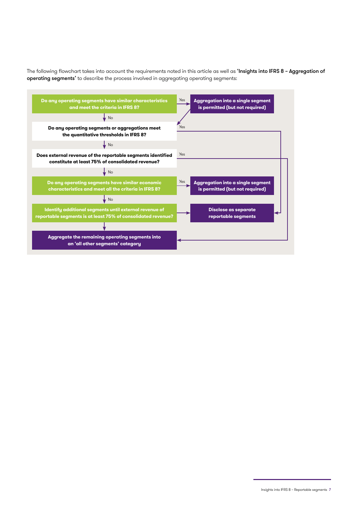The following flowchart takes into account the requirements noted in this article as well as 'Insights into IFRS 8 - Aggregation of [operating segments](https://www.grantthornton.global/en/insights/articles/ifrs-8-insights/Aggregation-of-operating-segments)' to describe the process involved in aggregating operating segments:



Insights into IFRS 8 – Reportable segments 7